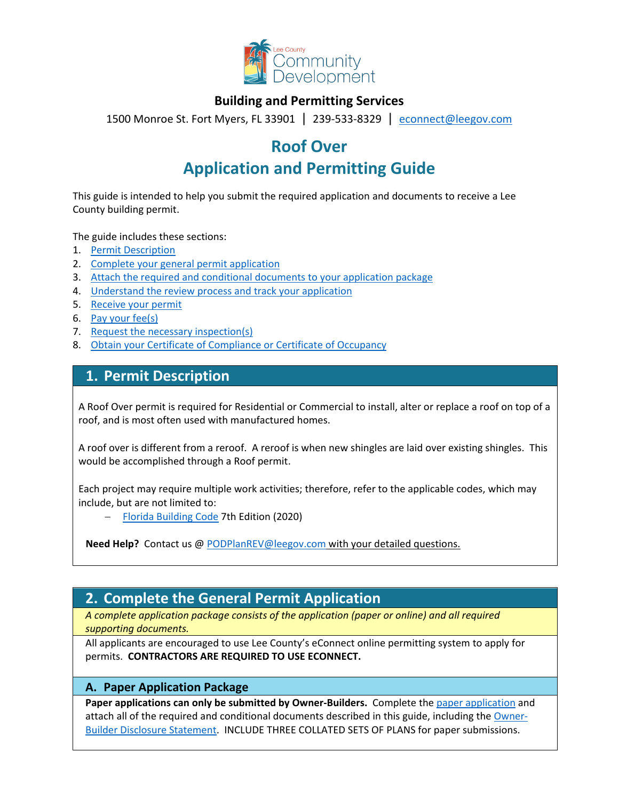

### **Building and Permitting Services**

1500 Monroe St. Fort Myers, FL 33901 | 239-533-8329 |[econnect@leegov.com](mailto:econnect@leegov.com)

# **Roof Over**

# **Application and Permitting Guide**

This guide is intended to help you submit the required application and documents to receive a Lee County building permit.

The guide includes these sections:

- 1. [Permit Description](#page-0-0)
- 2. [Complete your general permit application](#page-0-1)
- 3. [Attach the required and conditional documents to your application package](#page-3-0)
- 4. [Understand the review process and track your application](#page-4-0)
- 5. [Receive your permit](#page-5-0)
- 6. [Pay your fee\(s\)](#page-5-1)
- 7. [Request the necessary inspection\(s\)](#page-5-2)
- 8. [Obtain your Certificate of Compliance or Certificate of Occupancy](#page-6-0)

## <span id="page-0-0"></span>**1. Permit Description**

A Roof Over permit is required for Residential or Commercial to install, alter or replace a roof on top of a roof, and is most often used with manufactured homes.

A roof over is different from a reroof. A reroof is when new shingles are laid over existing shingles. This would be accomplished through a Roof permit.

Each project may require multiple work activities; therefore, refer to the applicable codes, which may include, but are not limited to:

− [Florida Building Code](https://codes.iccsafe.org/codes/florida) 7th Edition (2020)

**Need Help?** Contact us @ [PODPlanREV@leegov.com](mailto:PODPlanREV@leegov.com) with your detailed questions.

## <span id="page-0-1"></span>**2. Complete the General Permit Application**

*A complete application package consists of the application (paper or online) and all required supporting documents.*

All applicants are encouraged to use Lee County's eConnect online permitting system to apply for permits. **CONTRACTORS ARE REQUIRED TO USE ECONNECT.**

#### **A. Paper Application Package**

**Paper applications can only be submitted by Owner-Builders.** Complete the [paper application](https://www.leegov.com/dcd/PermittingDocs/TradePermitAppCreditCard.pdf) and attach all of the required and conditional documents described in this guide, including the [Owner-](https://www.leegov.com/dcd/PermittingDocs/OwnerBldrDisclosure.pdf)[Builder Disclosure Statement.](https://www.leegov.com/dcd/PermittingDocs/OwnerBldrDisclosure.pdf) INCLUDE THREE COLLATED SETS OF PLANS for paper submissions.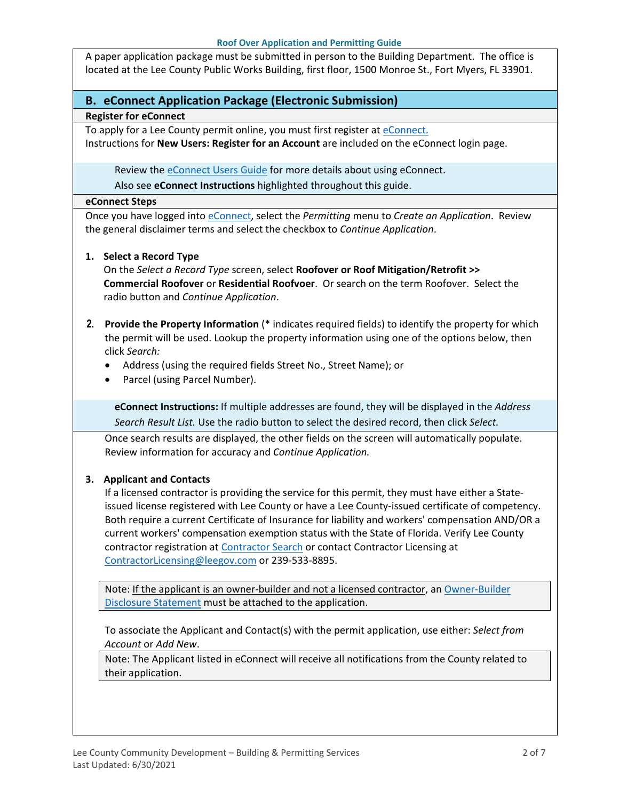#### **Roof Over Application and Permitting Guide**

A paper application package must be submitted in person to the Building Department. The office is located at the Lee County Public Works Building, first floor, 1500 Monroe St., Fort Myers, FL 33901.

#### **B. eConnect Application Package (Electronic Submission)**

#### **Register for eConnect**

To apply for a Lee County permit online, you must first register at [eConnect.](https://accelaaca.leegov.com/aca/) Instructions for **New Users: Register for an Account** are included on the eConnect login page.

Review th[e eConnect Users Guide](https://www.leegov.com/dcd/Documents/eServ/eConnect/eServicesGuide.pdf) for more details about using eConnect.

Also see **eConnect Instructions** highlighted throughout this guide.

#### **eConnect Steps**

Once you have logged into [eConnect,](https://accelaaca.leegov.com/aca/) select the *Permitting* menu to *Create an Application*. Review the general disclaimer terms and select the checkbox to *Continue Application*.

#### **1. Select a Record Type**

On the *Select a Record Type* screen, select **Roofover or Roof Mitigation/Retrofit >> Commercial Roofover** or **Residential Roofvoer**. Or search on the term Roofover. Select the radio button and *Continue Application*.

- **2. Provide the Property Information** (\* indicates required fields) to identify the property for which the permit will be used. Lookup the property information using one of the options below, then click *Search:*
	- Address (using the required fields Street No., Street Name); or
	- Parcel (using Parcel Number).

**eConnect Instructions:** If multiple addresses are found, they will be displayed in the *Address Search Result List.* Use the radio button to select the desired record, then click *Select.*

Once search results are displayed, the other fields on the screen will automatically populate. Review information for accuracy and *Continue Application.*

#### **3. Applicant and Contacts**

If a licensed contractor is providing the service for this permit, they must have either a Stateissued license registered with Lee County or have a Lee County-issued certificate of competency. Both require a current Certificate of Insurance for liability and workers' compensation AND/OR a current workers' compensation exemption status with the State of Florida. Verify Lee County contractor registration at [Contractor Search](https://www.leegov.com/dcd/ContLic/ActCont) or contact Contractor Licensing at [ContractorLicensing@leegov.com](mailto:ContractorLicensing@leegov.com) or 239-533-8895.

Note: If the applicant is an owner-builder and not a licensed contractor, a[n Owner-Builder](https://www.leegov.com/dcd/PermittingDocs/OwnerBldrDisclosure.pdf)  [Disclosure Statement](https://www.leegov.com/dcd/PermittingDocs/OwnerBldrDisclosure.pdf) must be attached to the application.

To associate the Applicant and Contact(s) with the permit application, use either: *Select from Account* or *Add New*.

Note: The Applicant listed in eConnect will receive all notifications from the County related to their application.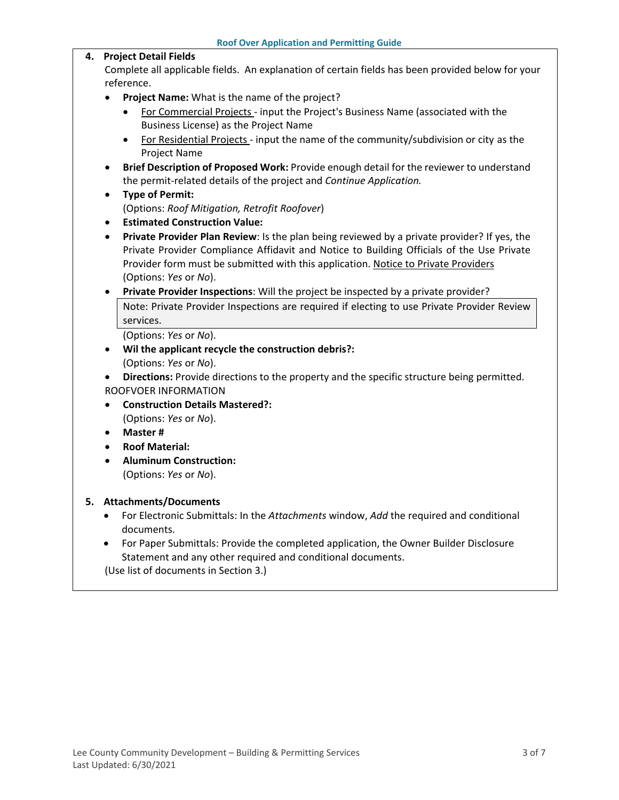#### **4. Project Detail Fields**

Complete all applicable fields. An explanation of certain fields has been provided below for your reference.

- **Project Name:** What is the name of the project?
	- For Commercial Projects input the Project's Business Name (associated with the Business License) as the Project Name
	- For Residential Projects input the name of the community/subdivision or city as the Project Name
- **Brief Description of Proposed Work:** Provide enough detail for the reviewer to understand the permit-related details of the project and *Continue Application.*
- **Type of Permit:**  (Options: *Roof Mitigation, Retrofit Roofover*)
- **Estimated Construction Value:**
- **Private Provider Plan Review**: Is the plan being reviewed by a private provider? If yes, the Private Provider Compliance Affidavit and Notice to Building Officials of the Use Private Provider form must be submitted with this application. [Notice to Private Providers](https://www.floridabuilding.org/fbc/committees/Private_Providers/Private_Providers.htm) (Options: *Yes* or *No*).
- **Private Provider Inspections**: Will the project be inspected by a private provider? Note: Private Provider Inspections are required if electing to use Private Provider Review services.

(Options: *Yes* or *No*).

- **Wil the applicant recycle the construction debris?:** (Options: *Yes* or *No*).
- **Directions:** Provide directions to the property and the specific structure being permitted. ROOFVOER INFORMATION
- **Construction Details Mastered?:** (Options: *Yes* or *No*).
- **Master #**
- **Roof Material:**
- **Aluminum Construction:** (Options: *Yes* or *No*).

#### **5. Attachments/Documents**

- For Electronic Submittals: In the *Attachments* window, *Add* the required and conditional documents.
- For Paper Submittals: Provide the completed application, the Owner Builder Disclosure Statement and any other required and conditional documents.

(Use list of documents in Section 3.)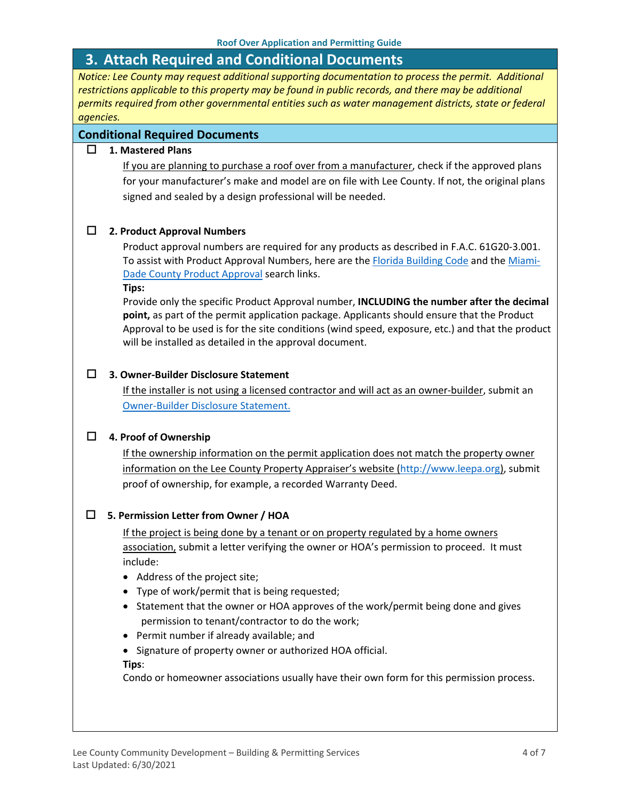## <span id="page-3-0"></span>**3. Attach Required and Conditional Documents**

*Notice: Lee County may request additional supporting documentation to process the permit. Additional restrictions applicable to this property may be found in public records, and there may be additional permits required from other governmental entities such as water management districts, state or federal agencies.*

#### **Conditional Required Documents**

#### **1. Mastered Plans**

If you are planning to purchase a roof over from a manufacturer, check if the approved plans for your manufacturer's make and model are on file with Lee County. If not, the original plans signed and sealed by a design professional will be needed.

#### **2. Product Approval Numbers**

Product approval numbers are required for any products as described in F.A.C. 61G20-3.001. To assist with Product Approval Numbers, here are the [Florida Building Code](https://floridabuilding.org/pr/pr_default.aspx) and the [Miami-](http://www.miamidade.gov/building/pc-search_app.asp)[Dade County Product Approval](http://www.miamidade.gov/building/pc-search_app.asp) search links.

**Tips:** 

Provide only the specific Product Approval number, **INCLUDING the number after the decimal point,** as part of the permit application package. Applicants should ensure that the Product Approval to be used is for the site conditions (wind speed, exposure, etc.) and that the product will be installed as detailed in the approval document.

#### **3. Owner-Builder Disclosure Statement**

If the installer is not using a licensed contractor and will act as an owner-builder, submit an [Owner-Builder Disclosure Statement.](https://www.leegov.com/dcd/PermittingDocs/OwnerBldrDisclosure.pdf)

#### **4. Proof of Ownership**

If the ownership information on the permit application does not match the property owner information on the Lee County Property Appraiser's website [\(http://www.leepa.org\)](http://www.leepa.org/), submit proof of ownership, for example, a recorded Warranty Deed.

#### **5. Permission Letter from Owner / HOA**

If the project is being done by a tenant or on property regulated by a home owners association, submit a letter verifying the owner or HOA's permission to proceed. It must include:

- Address of the project site;
- Type of work/permit that is being requested;
- Statement that the owner or HOA approves of the work/permit being done and gives permission to tenant/contractor to do the work;
- Permit number if already available; and
- Signature of property owner or authorized HOA official.

**Tips**:

Condo or homeowner associations usually have their own form for this permission process.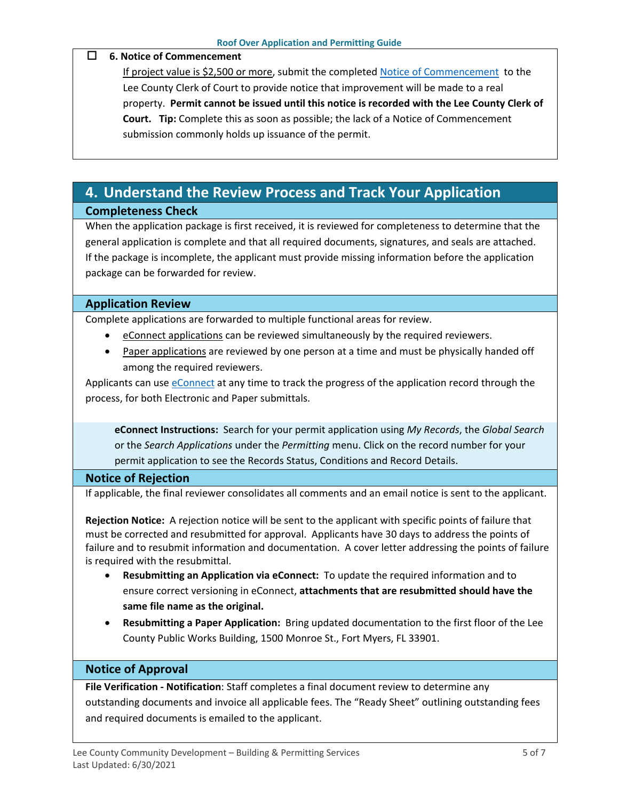#### **6. Notice of Commencement**

If project value is \$2,500 or more, submit the completed [Notice of Commencement](https://www.leegov.com/dcd/PermittingDocs/NoticeofCommencement.pdf) to the Lee County Clerk of Court to provide notice that improvement will be made to a real property. **Permit cannot be issued until this notice is recorded with the Lee County Clerk of Court. Tip:** Complete this as soon as possible; the lack of a Notice of Commencement submission commonly holds up issuance of the permit.

# <span id="page-4-0"></span>**4. Understand the Review Process and Track Your Application**

#### **Completeness Check**

When the application package is first received, it is reviewed for completeness to determine that the general application is complete and that all required documents, signatures, and seals are attached. If the package is incomplete, the applicant must provide missing information before the application package can be forwarded for review.

#### **Application Review**

Complete applications are forwarded to multiple functional areas for review.

- eConnect applications can be reviewed simultaneously by the required reviewers.
- Paper applications are reviewed by one person at a time and must be physically handed off among the required reviewers.

Applicants can use [eConnect](https://accelaaca.leegov.com/aca/) at any time to track the progress of the application record through the process, for both Electronic and Paper submittals.

**eConnect Instructions:** Search for your permit application using *My Records*, the *Global Search* or the *Search Applications* under the *Permitting* menu. Click on the record number for your permit application to see the Records Status, Conditions and Record Details.

#### **Notice of Rejection**

If applicable, the final reviewer consolidates all comments and an email notice is sent to the applicant.

**Rejection Notice:** A rejection notice will be sent to the applicant with specific points of failure that must be corrected and resubmitted for approval. Applicants have 30 days to address the points of failure and to resubmit information and documentation. A cover letter addressing the points of failure is required with the resubmittal.

- **Resubmitting an Application via eConnect:** To update the required information and to ensure correct versioning in eConnect, **attachments that are resubmitted should have the same file name as the original.**
- **Resubmitting a Paper Application:** Bring updated documentation to the first floor of the Lee County Public Works Building, 1500 Monroe St., Fort Myers, FL 33901.

#### **Notice of Approval**

**File Verification - Notification**: Staff completes a final document review to determine any outstanding documents and invoice all applicable fees. The "Ready Sheet" outlining outstanding fees and required documents is emailed to the applicant.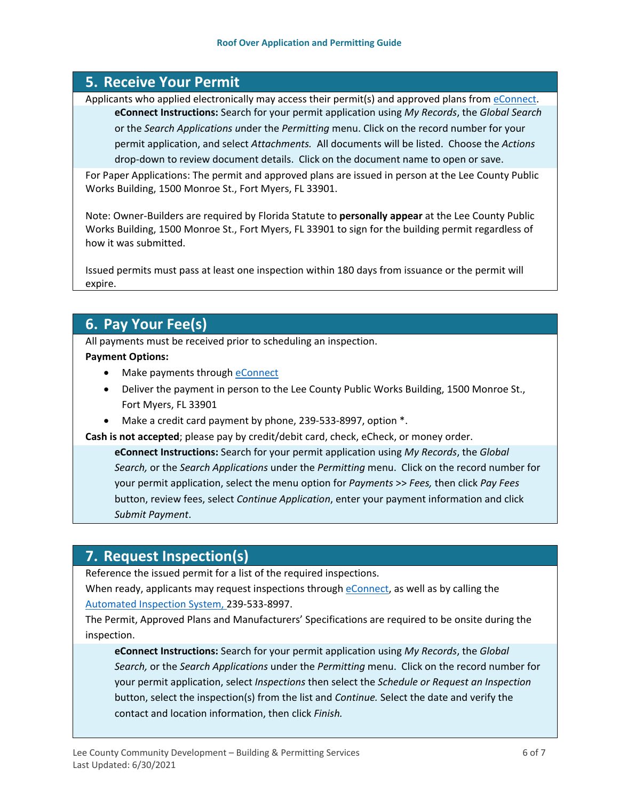## <span id="page-5-0"></span>**5. Receive Your Permit**

Applicants who applied electronically may access their permit(s) and approved plans from [eConnect.](https://accelaaca.leegov.com/aca/) **eConnect Instructions:** Search for your permit application using *My Records*, the *Global Search* or the *Search Applications u*nder the *Permitting* menu. Click on the record number for your permit application, and select *Attachments.* All documents will be listed. Choose the *Actions*  drop-down to review document details. Click on the document name to open or save.

For Paper Applications: The permit and approved plans are issued in person at the Lee County Public Works Building, 1500 Monroe St., Fort Myers, FL 33901.

Note: Owner-Builders are required by Florida Statute to **personally appear** at the Lee County Public Works Building, 1500 Monroe St., Fort Myers, FL 33901 to sign for the building permit regardless of how it was submitted.

Issued permits must pass at least one inspection within 180 days from issuance or the permit will expire.

## <span id="page-5-1"></span>**6. Pay Your Fee(s)**

All payments must be received prior to scheduling an inspection.

#### **Payment Options:**

- Make payments through [eConnect](https://accelaaca.leegov.com/aca/)
- Deliver the payment in person to the Lee County Public Works Building, 1500 Monroe St., Fort Myers, FL 33901
- Make a credit card payment by phone, 239-533-8997, option \*.

**Cash is not accepted**; please pay by credit/debit card, check, eCheck, or money order.

**eConnect Instructions:** Search for your permit application using *My Records*, the *Global Search,* or the *Search Applications* under the *Permitting* menu. Click on the record number for your permit application, select the menu option for *Payments* >> *Fees,* then click *Pay Fees*  button, review fees, select *Continue Application*, enter your payment information and click *Submit Payment*.

## <span id="page-5-2"></span>**7. Request Inspection(s)**

Reference the issued permit for a list of the required inspections.

When ready, applicants may request inspections through [eConnect,](https://accelaaca.leegov.com/aca/) as well as by calling the [Automated Inspection System,](https://www.leegov.com/dcd/BldPermitServ/Insp/AutoInsp) 239-533-8997.

The Permit, Approved Plans and Manufacturers' Specifications are required to be onsite during the inspection.

**eConnect Instructions:** Search for your permit application using *My Records*, the *Global Search,* or the *Search Applications* under the *Permitting* menu. Click on the record number for your permit application, select *Inspections* then select the *Schedule or Request an Inspection* button, select the inspection(s) from the list and *Continue.* Select the date and verify the contact and location information, then click *Finish.*